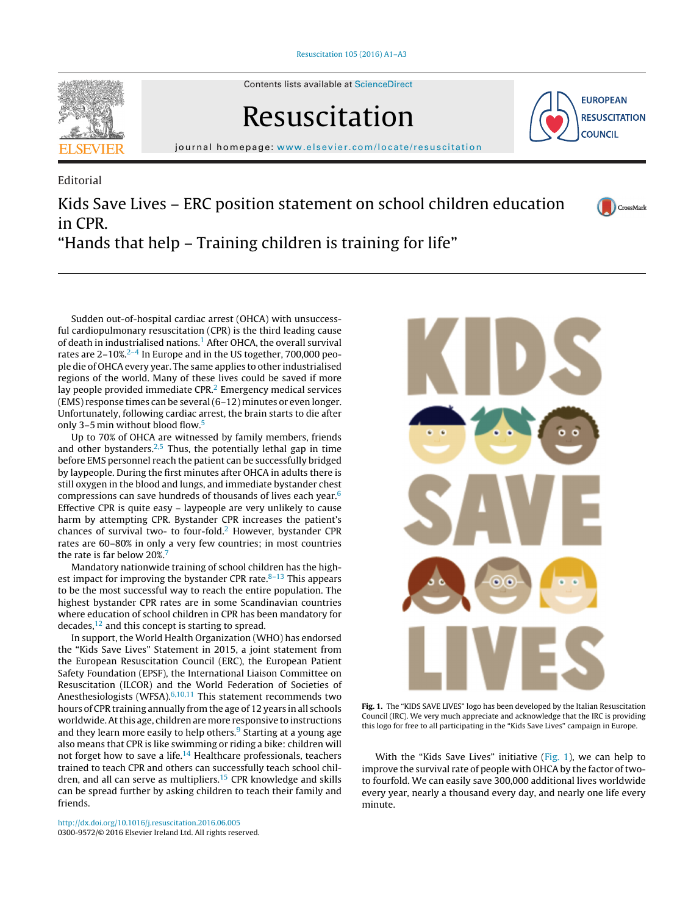

Contents lists available at [ScienceDirect](http://www.sciencedirect.com/science/journal/03009572)

# Resuscitation



CrossMark

iournal homepage: [www.elsevier.com/locate/resuscitation](http://www.elsevier.com/locate/resuscitation)

Editorial Kids Save Lives – ERC position statement on school children education in CPR. "Hands that help – Training children is training for life"

Sudden out-of-hospital cardiac arrest (OHCA) with unsuccessful cardiopulmonary resuscitation (CPR) is the third leading cause of death in industrialised nations.<sup>[1](#page-1-0)</sup> After OHCA, the overall survival rates are  $2-10\%$ <sup>2-4</sup> In Europe and in the US together, 700,000 people die of OHCA every year. The same applies to other industrialised regions of the world. Many of these lives could be saved if more lay people provided immediate CPR.<sup>[2](#page-1-0)</sup> Emergency medical services (EMS) response times can be several(6–12) minutes or even longer. Unfortunately, following cardiac arrest, the brain starts to die after only 3–5 min without blood flow.[5](#page-1-0)

Up to 70% of OHCA are witnessed by family members, friends and other bystanders.<sup>[2,5](#page-1-0)</sup> Thus, the potentially lethal gap in time before EMS personnel reach the patient can be successfully bridged by laypeople. During the first minutes after OHCA in adults there is still oxygen in the blood and lungs, and immediate bystander chest compressions can save hundreds of thousands of lives each year[.6](#page-1-0) Effective CPR is quite easy – laypeople are very unlikely to cause harm by attempting CPR. Bystander CPR increases the patient's chances of survival two- to four-fold.<sup>2</sup> However, bystander CPR rates are 60–80% in only a very few countries; in most countries the rate is far below 20%[.7](#page-1-0)

Mandatory nationwide training of school children has the highest impact for improving the bystander CPR rate. $8-13$  This appears to be the most successful way to reach the entire population. The highest bystander CPR rates are in some Scandinavian countries where education of school children in CPR has been mandatory for decades, $12$  and this concept is starting to spread.

In support, the World Health Organization (WHO) has endorsed the "Kids Save Lives" Statement in 2015, a joint statement from the European Resuscitation Council (ERC), the European Patient Safety Foundation (EPSF), the International Liaison Committee on Resuscitation (ILCOR) and the World Federation of Societies of Anesthesiologists (WFSA). $6,10,11$  This statement recommends two hours of CPR training annually from the age of 12 years in all schools worldwide.Atthis age, children are more responsive to instructions and they learn more easily to help others.<sup>[9](#page-1-0)</sup> Starting at a young age also means that CPR is like swimming or riding a bike: children will not forget how to save a life.<sup>14</sup> Healthcare professionals, teachers trained to teach CPR and others can successfully teach school children, and all can serve as multipliers.<sup>15</sup> CPR knowledge and skills can be spread further by asking children to teach their family and friends.



**Fig. 1.** The "KIDS SAVE LIVES" logo has been developed by the Italian Resuscitation Council (IRC). We very much appreciate and acknowledge that the IRC is providing this logo for free to all participating in the "Kids Save Lives" campaign in Europe.

With the "Kids Save Lives" initiative (Fig. 1), we can help to improve the survival rate of people with OHCA by the factor of twoto fourfold. We can easily save 300,000 additional lives worldwide every year, nearly a thousand every day, and nearly one life every minute.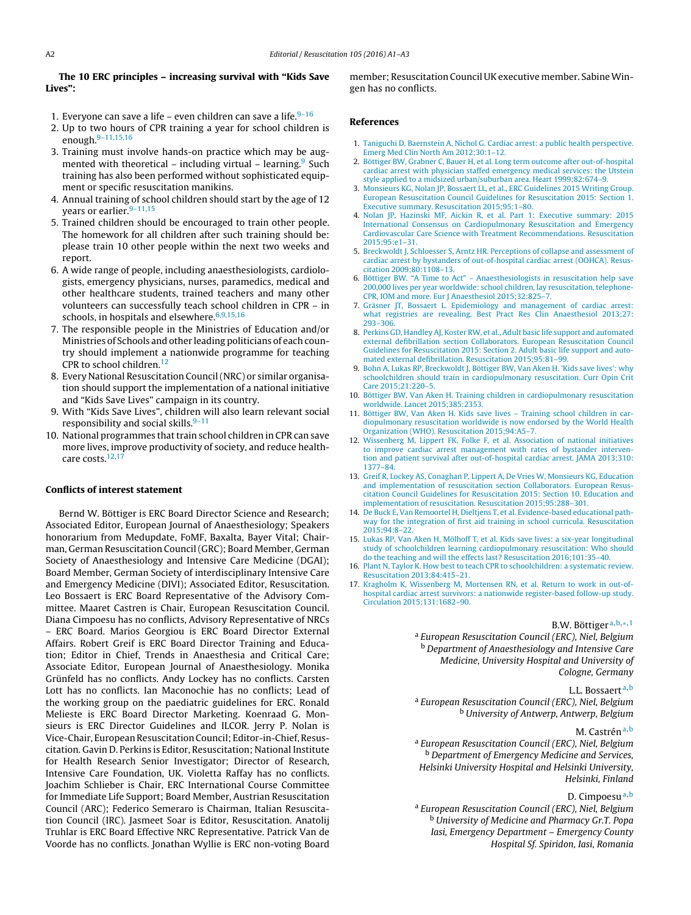## <span id="page-1-0"></span>**The 10 ERC principles – increasing survival with "Kids Save Lives":**

- 1. Everyone can save a life even children can save a life. $9-16$
- 2. Up to two hours of CPR training a year for school children is enough.9–11,15,16
- 3. Training must involve hands-on practice which may be augmented with theoretical – including virtual – learning. Such training has also been performed without sophisticated equipment or specific resuscitation manikins.
- 4. Annual training of school children should start by the age of 12 years or earlier.<sup>9-11,15</sup>
- 5. Trained children should be encouraged to train other people. The homework for all children after such training should be: please train 10 other people within the next two weeks and report.
- 6. A wide range of people, including anaesthesiologists, cardiologists, emergency physicians, nurses, paramedics, medical and other healthcare students, trained teachers and many other volunteers can successfully teach school children in CPR – in schools, in hospitals and elsewhere. $6,9,15,16$
- 7. The responsible people in the Ministries of Education and/or Ministries of Schools and other leading politicians of each country should implement a nationwide programme for teaching CPR to school children.<sup>12</sup>
- 8. Every National Resuscitation Council(NRC) or similar organisation should support the implementation of a national initiative and "Kids Save Lives" campaign in its country.
- 9. With "Kids Save Lives", children will also learn relevant social responsibility and social skills.9–11
- 10. National programmes that train school children in CPR can save more lives, improve productivity of society, and reduce healthcare costs.12,17

#### **Conflicts of interest statement**

Bernd W. Böttiger is ERC Board Director Science and Research; Associated Editor, European Journal of Anaesthesiology; Speakers honorarium from Medupdate, FoMF, Baxalta, Bayer Vital; Chairman, German Resuscitation Council(GRC); Board Member, German Society of Anaesthesiology and Intensive Care Medicine (DGAI); Board Member, German Society of interdisciplinary Intensive Care and Emergency Medicine (DIVI); Associated Editor, Resuscitation. Leo Bossaert is ERC Board Representative of the Advisory Committee. Maaret Castren is Chair, European Resuscitation Council. Diana Cimpoesu has no conflicts, Advisory Representative of NRCs – ERC Board. Marios Georgiou is ERC Board Director External Affairs. Robert Greif is ERC Board Director Training and Education; Editor in Chief, Trends in Anaesthesia and Critical Care; Associate Editor, European Journal of Anaesthesiology. Monika Grünfeld has no conflicts. Andy Lockey has no conflicts. Carsten Lott has no conflicts. Ian Maconochie has no conflicts; Lead of the working group on the paediatric guidelines for ERC. Ronald Melieste is ERC Board Director Marketing. Koenraad G. Monsieurs is ERC Director Guidelines and ILCOR. Jerry P. Nolan is Vice-Chair, European Resuscitation Council; Editor-in-Chief, Resuscitation. Gavin D. Perkins is Editor, Resuscitation; National Institute for Health Research Senior Investigator; Director of Research, Intensive Care Foundation, UK. Violetta Raffay has no conflicts. Joachim Schlieber is Chair, ERC International Course Committee for Immediate Life Support; Board Member, Austrian Resuscitation Council (ARC); Federico Semeraro is Chairman, Italian Resuscitation Council (IRC). Jasmeet Soar is Editor, Resuscitation. Anatolij Truhlar is ERC Board Effective NRC Representative. Patrick Van de Voorde has no conflicts. Jonathan Wyllie is ERC non-voting Board

member; Resuscitation Council UK executive member. SabineWingen has no conflicts.

#### **References**

- 1. [Taniguchi](http://refhub.elsevier.com/S0300-9572(16)30100-9/sbref0090) [D,](http://refhub.elsevier.com/S0300-9572(16)30100-9/sbref0090) [Baernstein](http://refhub.elsevier.com/S0300-9572(16)30100-9/sbref0090) [A,](http://refhub.elsevier.com/S0300-9572(16)30100-9/sbref0090) [Nichol](http://refhub.elsevier.com/S0300-9572(16)30100-9/sbref0090) [G.](http://refhub.elsevier.com/S0300-9572(16)30100-9/sbref0090) [Cardiac](http://refhub.elsevier.com/S0300-9572(16)30100-9/sbref0090) [arrest:](http://refhub.elsevier.com/S0300-9572(16)30100-9/sbref0090) [a](http://refhub.elsevier.com/S0300-9572(16)30100-9/sbref0090) [public](http://refhub.elsevier.com/S0300-9572(16)30100-9/sbref0090) [health](http://refhub.elsevier.com/S0300-9572(16)30100-9/sbref0090) [perspective.](http://refhub.elsevier.com/S0300-9572(16)30100-9/sbref0090) [Emerg](http://refhub.elsevier.com/S0300-9572(16)30100-9/sbref0090) [Med](http://refhub.elsevier.com/S0300-9572(16)30100-9/sbref0090) [Clin](http://refhub.elsevier.com/S0300-9572(16)30100-9/sbref0090) [North](http://refhub.elsevier.com/S0300-9572(16)30100-9/sbref0090) [Am](http://refhub.elsevier.com/S0300-9572(16)30100-9/sbref0090) [2012;30:1–12.](http://refhub.elsevier.com/S0300-9572(16)30100-9/sbref0090)
- 2. [Böttiger](http://refhub.elsevier.com/S0300-9572(16)30100-9/sbref0095) [BW,](http://refhub.elsevier.com/S0300-9572(16)30100-9/sbref0095) [Grabner](http://refhub.elsevier.com/S0300-9572(16)30100-9/sbref0095) [C,](http://refhub.elsevier.com/S0300-9572(16)30100-9/sbref0095) [Bauer](http://refhub.elsevier.com/S0300-9572(16)30100-9/sbref0095) [H,](http://refhub.elsevier.com/S0300-9572(16)30100-9/sbref0095) [et](http://refhub.elsevier.com/S0300-9572(16)30100-9/sbref0095) [al.](http://refhub.elsevier.com/S0300-9572(16)30100-9/sbref0095) [Long](http://refhub.elsevier.com/S0300-9572(16)30100-9/sbref0095) [term](http://refhub.elsevier.com/S0300-9572(16)30100-9/sbref0095) [outcome](http://refhub.elsevier.com/S0300-9572(16)30100-9/sbref0095) [after](http://refhub.elsevier.com/S0300-9572(16)30100-9/sbref0095) [out-of-hospital](http://refhub.elsevier.com/S0300-9572(16)30100-9/sbref0095) [cardiac](http://refhub.elsevier.com/S0300-9572(16)30100-9/sbref0095) [arrest](http://refhub.elsevier.com/S0300-9572(16)30100-9/sbref0095) [with](http://refhub.elsevier.com/S0300-9572(16)30100-9/sbref0095) [physician](http://refhub.elsevier.com/S0300-9572(16)30100-9/sbref0095) [staffed](http://refhub.elsevier.com/S0300-9572(16)30100-9/sbref0095) [emergency](http://refhub.elsevier.com/S0300-9572(16)30100-9/sbref0095) [medical](http://refhub.elsevier.com/S0300-9572(16)30100-9/sbref0095) [services:](http://refhub.elsevier.com/S0300-9572(16)30100-9/sbref0095) [the](http://refhub.elsevier.com/S0300-9572(16)30100-9/sbref0095) [Utstein](http://refhub.elsevier.com/S0300-9572(16)30100-9/sbref0095) [style](http://refhub.elsevier.com/S0300-9572(16)30100-9/sbref0095) [applied](http://refhub.elsevier.com/S0300-9572(16)30100-9/sbref0095) [to](http://refhub.elsevier.com/S0300-9572(16)30100-9/sbref0095) [a](http://refhub.elsevier.com/S0300-9572(16)30100-9/sbref0095) [midsized](http://refhub.elsevier.com/S0300-9572(16)30100-9/sbref0095) [urban/suburban](http://refhub.elsevier.com/S0300-9572(16)30100-9/sbref0095) [area.](http://refhub.elsevier.com/S0300-9572(16)30100-9/sbref0095) [Heart](http://refhub.elsevier.com/S0300-9572(16)30100-9/sbref0095) [1999;82:674–9.](http://refhub.elsevier.com/S0300-9572(16)30100-9/sbref0095)
- 3. [Monsieurs](http://refhub.elsevier.com/S0300-9572(16)30100-9/sbref0100) [KG,](http://refhub.elsevier.com/S0300-9572(16)30100-9/sbref0100) [Nolan](http://refhub.elsevier.com/S0300-9572(16)30100-9/sbref0100) [JP,](http://refhub.elsevier.com/S0300-9572(16)30100-9/sbref0100) [Bossaert](http://refhub.elsevier.com/S0300-9572(16)30100-9/sbref0100) [LL,](http://refhub.elsevier.com/S0300-9572(16)30100-9/sbref0100) [et](http://refhub.elsevier.com/S0300-9572(16)30100-9/sbref0100) [al.,](http://refhub.elsevier.com/S0300-9572(16)30100-9/sbref0100) [ERC](http://refhub.elsevier.com/S0300-9572(16)30100-9/sbref0100) [Guidelines](http://refhub.elsevier.com/S0300-9572(16)30100-9/sbref0100) [2015](http://refhub.elsevier.com/S0300-9572(16)30100-9/sbref0100) [Writing](http://refhub.elsevier.com/S0300-9572(16)30100-9/sbref0100) [Group.](http://refhub.elsevier.com/S0300-9572(16)30100-9/sbref0100) [European](http://refhub.elsevier.com/S0300-9572(16)30100-9/sbref0100) [Resuscitation](http://refhub.elsevier.com/S0300-9572(16)30100-9/sbref0100) [Council](http://refhub.elsevier.com/S0300-9572(16)30100-9/sbref0100) [Guidelines](http://refhub.elsevier.com/S0300-9572(16)30100-9/sbref0100) [for](http://refhub.elsevier.com/S0300-9572(16)30100-9/sbref0100) [Resuscitation](http://refhub.elsevier.com/S0300-9572(16)30100-9/sbref0100) [2015:](http://refhub.elsevier.com/S0300-9572(16)30100-9/sbref0100) [Section](http://refhub.elsevier.com/S0300-9572(16)30100-9/sbref0100) [1.](http://refhub.elsevier.com/S0300-9572(16)30100-9/sbref0100) [Executive](http://refhub.elsevier.com/S0300-9572(16)30100-9/sbref0100) [summary.](http://refhub.elsevier.com/S0300-9572(16)30100-9/sbref0100) [Resuscitation](http://refhub.elsevier.com/S0300-9572(16)30100-9/sbref0100) [2015;95:1–80.](http://refhub.elsevier.com/S0300-9572(16)30100-9/sbref0100)
- 4. [Nolan](http://refhub.elsevier.com/S0300-9572(16)30100-9/sbref0105) [JP,](http://refhub.elsevier.com/S0300-9572(16)30100-9/sbref0105) [Hazinski](http://refhub.elsevier.com/S0300-9572(16)30100-9/sbref0105) [MF,](http://refhub.elsevier.com/S0300-9572(16)30100-9/sbref0105) [Aickin](http://refhub.elsevier.com/S0300-9572(16)30100-9/sbref0105) [R,](http://refhub.elsevier.com/S0300-9572(16)30100-9/sbref0105) [et](http://refhub.elsevier.com/S0300-9572(16)30100-9/sbref0105) [al.](http://refhub.elsevier.com/S0300-9572(16)30100-9/sbref0105) [Part](http://refhub.elsevier.com/S0300-9572(16)30100-9/sbref0105) [1:](http://refhub.elsevier.com/S0300-9572(16)30100-9/sbref0105) [Executive](http://refhub.elsevier.com/S0300-9572(16)30100-9/sbref0105) [summary:](http://refhub.elsevier.com/S0300-9572(16)30100-9/sbref0105) [2015](http://refhub.elsevier.com/S0300-9572(16)30100-9/sbref0105) [International](http://refhub.elsevier.com/S0300-9572(16)30100-9/sbref0105) [Consensus](http://refhub.elsevier.com/S0300-9572(16)30100-9/sbref0105) [on](http://refhub.elsevier.com/S0300-9572(16)30100-9/sbref0105) [Cardiopulmonary](http://refhub.elsevier.com/S0300-9572(16)30100-9/sbref0105) [Resuscitation](http://refhub.elsevier.com/S0300-9572(16)30100-9/sbref0105) [and](http://refhub.elsevier.com/S0300-9572(16)30100-9/sbref0105) [Emergency](http://refhub.elsevier.com/S0300-9572(16)30100-9/sbref0105) [Cardiovascular](http://refhub.elsevier.com/S0300-9572(16)30100-9/sbref0105) [Care](http://refhub.elsevier.com/S0300-9572(16)30100-9/sbref0105) [Science](http://refhub.elsevier.com/S0300-9572(16)30100-9/sbref0105) [with](http://refhub.elsevier.com/S0300-9572(16)30100-9/sbref0105) [Treatment](http://refhub.elsevier.com/S0300-9572(16)30100-9/sbref0105) [Recommendations.](http://refhub.elsevier.com/S0300-9572(16)30100-9/sbref0105) [Resuscitation](http://refhub.elsevier.com/S0300-9572(16)30100-9/sbref0105) [2015;95:e1–31.](http://refhub.elsevier.com/S0300-9572(16)30100-9/sbref0105)
- 5. [Breckwoldt](http://refhub.elsevier.com/S0300-9572(16)30100-9/sbref0110) [J,](http://refhub.elsevier.com/S0300-9572(16)30100-9/sbref0110) [Schloesser](http://refhub.elsevier.com/S0300-9572(16)30100-9/sbref0110) [S,](http://refhub.elsevier.com/S0300-9572(16)30100-9/sbref0110) [Arntz](http://refhub.elsevier.com/S0300-9572(16)30100-9/sbref0110) [HR.](http://refhub.elsevier.com/S0300-9572(16)30100-9/sbref0110) [Perceptions](http://refhub.elsevier.com/S0300-9572(16)30100-9/sbref0110) [of](http://refhub.elsevier.com/S0300-9572(16)30100-9/sbref0110) [collapse](http://refhub.elsevier.com/S0300-9572(16)30100-9/sbref0110) [and](http://refhub.elsevier.com/S0300-9572(16)30100-9/sbref0110) [assessment](http://refhub.elsevier.com/S0300-9572(16)30100-9/sbref0110) [of](http://refhub.elsevier.com/S0300-9572(16)30100-9/sbref0110) [cardiac](http://refhub.elsevier.com/S0300-9572(16)30100-9/sbref0110) [arrest](http://refhub.elsevier.com/S0300-9572(16)30100-9/sbref0110) [by](http://refhub.elsevier.com/S0300-9572(16)30100-9/sbref0110) [bystanders](http://refhub.elsevier.com/S0300-9572(16)30100-9/sbref0110) [of](http://refhub.elsevier.com/S0300-9572(16)30100-9/sbref0110) [out-of-hospital](http://refhub.elsevier.com/S0300-9572(16)30100-9/sbref0110) [cardiac](http://refhub.elsevier.com/S0300-9572(16)30100-9/sbref0110) [arrest](http://refhub.elsevier.com/S0300-9572(16)30100-9/sbref0110) [\(OOHCA\).](http://refhub.elsevier.com/S0300-9572(16)30100-9/sbref0110) [Resus](http://refhub.elsevier.com/S0300-9572(16)30100-9/sbref0110)[citation](http://refhub.elsevier.com/S0300-9572(16)30100-9/sbref0110) [2009;80:1108](http://refhub.elsevier.com/S0300-9572(16)30100-9/sbref0110)–[13.](http://refhub.elsevier.com/S0300-9572(16)30100-9/sbref0110)
- 6. [Böttiger](http://refhub.elsevier.com/S0300-9572(16)30100-9/sbref0115) [BW.](http://refhub.elsevier.com/S0300-9572(16)30100-9/sbref0115) ["A](http://refhub.elsevier.com/S0300-9572(16)30100-9/sbref0115) [Time](http://refhub.elsevier.com/S0300-9572(16)30100-9/sbref0115) [to](http://refhub.elsevier.com/S0300-9572(16)30100-9/sbref0115) [Act"](http://refhub.elsevier.com/S0300-9572(16)30100-9/sbref0115) [Anaesthesiologists](http://refhub.elsevier.com/S0300-9572(16)30100-9/sbref0115) [in](http://refhub.elsevier.com/S0300-9572(16)30100-9/sbref0115) [resuscitation](http://refhub.elsevier.com/S0300-9572(16)30100-9/sbref0115) [help](http://refhub.elsevier.com/S0300-9572(16)30100-9/sbref0115) [save](http://refhub.elsevier.com/S0300-9572(16)30100-9/sbref0115) [200,000](http://refhub.elsevier.com/S0300-9572(16)30100-9/sbref0115) [lives](http://refhub.elsevier.com/S0300-9572(16)30100-9/sbref0115) [per](http://refhub.elsevier.com/S0300-9572(16)30100-9/sbref0115) [year](http://refhub.elsevier.com/S0300-9572(16)30100-9/sbref0115) [worldwide:](http://refhub.elsevier.com/S0300-9572(16)30100-9/sbref0115) [school](http://refhub.elsevier.com/S0300-9572(16)30100-9/sbref0115) [children,](http://refhub.elsevier.com/S0300-9572(16)30100-9/sbref0115) [lay](http://refhub.elsevier.com/S0300-9572(16)30100-9/sbref0115) [resuscitation,](http://refhub.elsevier.com/S0300-9572(16)30100-9/sbref0115) [telephone-](http://refhub.elsevier.com/S0300-9572(16)30100-9/sbref0115)[CPR,](http://refhub.elsevier.com/S0300-9572(16)30100-9/sbref0115) [IOM](http://refhub.elsevier.com/S0300-9572(16)30100-9/sbref0115) [and](http://refhub.elsevier.com/S0300-9572(16)30100-9/sbref0115) [more.](http://refhub.elsevier.com/S0300-9572(16)30100-9/sbref0115) [Eur](http://refhub.elsevier.com/S0300-9572(16)30100-9/sbref0115) [J](http://refhub.elsevier.com/S0300-9572(16)30100-9/sbref0115) [Anaesthesiol](http://refhub.elsevier.com/S0300-9572(16)30100-9/sbref0115) [2015;32:825](http://refhub.elsevier.com/S0300-9572(16)30100-9/sbref0115)–[7.](http://refhub.elsevier.com/S0300-9572(16)30100-9/sbref0115)
- 7. [Gräsner](http://refhub.elsevier.com/S0300-9572(16)30100-9/sbref0120) [JT,](http://refhub.elsevier.com/S0300-9572(16)30100-9/sbref0120) [Bossaert](http://refhub.elsevier.com/S0300-9572(16)30100-9/sbref0120) [L.](http://refhub.elsevier.com/S0300-9572(16)30100-9/sbref0120) [Epidemiology](http://refhub.elsevier.com/S0300-9572(16)30100-9/sbref0120) [and](http://refhub.elsevier.com/S0300-9572(16)30100-9/sbref0120) [management](http://refhub.elsevier.com/S0300-9572(16)30100-9/sbref0120) [of](http://refhub.elsevier.com/S0300-9572(16)30100-9/sbref0120) [cardiac](http://refhub.elsevier.com/S0300-9572(16)30100-9/sbref0120) [arrest:](http://refhub.elsevier.com/S0300-9572(16)30100-9/sbref0120) [what](http://refhub.elsevier.com/S0300-9572(16)30100-9/sbref0120) [registries](http://refhub.elsevier.com/S0300-9572(16)30100-9/sbref0120) [are](http://refhub.elsevier.com/S0300-9572(16)30100-9/sbref0120) [revealing.](http://refhub.elsevier.com/S0300-9572(16)30100-9/sbref0120) [Best](http://refhub.elsevier.com/S0300-9572(16)30100-9/sbref0120) [Pract](http://refhub.elsevier.com/S0300-9572(16)30100-9/sbref0120) [Res](http://refhub.elsevier.com/S0300-9572(16)30100-9/sbref0120) [Clin](http://refhub.elsevier.com/S0300-9572(16)30100-9/sbref0120) [Anaesthesiol](http://refhub.elsevier.com/S0300-9572(16)30100-9/sbref0120) [2013;27:](http://refhub.elsevier.com/S0300-9572(16)30100-9/sbref0120) [293](http://refhub.elsevier.com/S0300-9572(16)30100-9/sbref0120)–[306.](http://refhub.elsevier.com/S0300-9572(16)30100-9/sbref0120)
- 8. [Perkins](http://refhub.elsevier.com/S0300-9572(16)30100-9/sbref0125) [GD,](http://refhub.elsevier.com/S0300-9572(16)30100-9/sbref0125) [Handley](http://refhub.elsevier.com/S0300-9572(16)30100-9/sbref0125) [AJ,](http://refhub.elsevier.com/S0300-9572(16)30100-9/sbref0125) [Koster](http://refhub.elsevier.com/S0300-9572(16)30100-9/sbref0125) [RW,](http://refhub.elsevier.com/S0300-9572(16)30100-9/sbref0125) [et](http://refhub.elsevier.com/S0300-9572(16)30100-9/sbref0125) [al.,](http://refhub.elsevier.com/S0300-9572(16)30100-9/sbref0125) [Adult](http://refhub.elsevier.com/S0300-9572(16)30100-9/sbref0125) [basic](http://refhub.elsevier.com/S0300-9572(16)30100-9/sbref0125) [life](http://refhub.elsevier.com/S0300-9572(16)30100-9/sbref0125) [support](http://refhub.elsevier.com/S0300-9572(16)30100-9/sbref0125) [and](http://refhub.elsevier.com/S0300-9572(16)30100-9/sbref0125) [automated](http://refhub.elsevier.com/S0300-9572(16)30100-9/sbref0125) [external](http://refhub.elsevier.com/S0300-9572(16)30100-9/sbref0125) [defibrillation](http://refhub.elsevier.com/S0300-9572(16)30100-9/sbref0125) [section](http://refhub.elsevier.com/S0300-9572(16)30100-9/sbref0125) [Collaborators.](http://refhub.elsevier.com/S0300-9572(16)30100-9/sbref0125) [European](http://refhub.elsevier.com/S0300-9572(16)30100-9/sbref0125) [Resuscitation](http://refhub.elsevier.com/S0300-9572(16)30100-9/sbref0125) [Council](http://refhub.elsevier.com/S0300-9572(16)30100-9/sbref0125) [Guidelines](http://refhub.elsevier.com/S0300-9572(16)30100-9/sbref0125) [for](http://refhub.elsevier.com/S0300-9572(16)30100-9/sbref0125) [Resuscitation](http://refhub.elsevier.com/S0300-9572(16)30100-9/sbref0125) [2015:](http://refhub.elsevier.com/S0300-9572(16)30100-9/sbref0125) [Section](http://refhub.elsevier.com/S0300-9572(16)30100-9/sbref0125) [2.](http://refhub.elsevier.com/S0300-9572(16)30100-9/sbref0125) [Adult](http://refhub.elsevier.com/S0300-9572(16)30100-9/sbref0125) [basic](http://refhub.elsevier.com/S0300-9572(16)30100-9/sbref0125) [life](http://refhub.elsevier.com/S0300-9572(16)30100-9/sbref0125) [support](http://refhub.elsevier.com/S0300-9572(16)30100-9/sbref0125) [and](http://refhub.elsevier.com/S0300-9572(16)30100-9/sbref0125) [auto](http://refhub.elsevier.com/S0300-9572(16)30100-9/sbref0125)[mated](http://refhub.elsevier.com/S0300-9572(16)30100-9/sbref0125) [external](http://refhub.elsevier.com/S0300-9572(16)30100-9/sbref0125) [defibrillation.](http://refhub.elsevier.com/S0300-9572(16)30100-9/sbref0125) [Resuscitation](http://refhub.elsevier.com/S0300-9572(16)30100-9/sbref0125) [2015;95:81–99.](http://refhub.elsevier.com/S0300-9572(16)30100-9/sbref0125)
- 9. [Bohn](http://refhub.elsevier.com/S0300-9572(16)30100-9/sbref0130) [A,](http://refhub.elsevier.com/S0300-9572(16)30100-9/sbref0130) [Lukas](http://refhub.elsevier.com/S0300-9572(16)30100-9/sbref0130) [RP,](http://refhub.elsevier.com/S0300-9572(16)30100-9/sbref0130) [Breckwoldt](http://refhub.elsevier.com/S0300-9572(16)30100-9/sbref0130) [J,](http://refhub.elsevier.com/S0300-9572(16)30100-9/sbref0130) [Böttiger](http://refhub.elsevier.com/S0300-9572(16)30100-9/sbref0130) [BW,](http://refhub.elsevier.com/S0300-9572(16)30100-9/sbref0130) [Van](http://refhub.elsevier.com/S0300-9572(16)30100-9/sbref0130) [Aken](http://refhub.elsevier.com/S0300-9572(16)30100-9/sbref0130) [H.](http://refhub.elsevier.com/S0300-9572(16)30100-9/sbref0130) ['Kids](http://refhub.elsevier.com/S0300-9572(16)30100-9/sbref0130) [save](http://refhub.elsevier.com/S0300-9572(16)30100-9/sbref0130) [lives':](http://refhub.elsevier.com/S0300-9572(16)30100-9/sbref0130) [why](http://refhub.elsevier.com/S0300-9572(16)30100-9/sbref0130) [schoolchildren](http://refhub.elsevier.com/S0300-9572(16)30100-9/sbref0130) [should](http://refhub.elsevier.com/S0300-9572(16)30100-9/sbref0130) [train](http://refhub.elsevier.com/S0300-9572(16)30100-9/sbref0130) [in](http://refhub.elsevier.com/S0300-9572(16)30100-9/sbref0130) [cardiopulmonary](http://refhub.elsevier.com/S0300-9572(16)30100-9/sbref0130) [resuscitation.](http://refhub.elsevier.com/S0300-9572(16)30100-9/sbref0130) [Curr](http://refhub.elsevier.com/S0300-9572(16)30100-9/sbref0130) [Opin](http://refhub.elsevier.com/S0300-9572(16)30100-9/sbref0130) [Crit](http://refhub.elsevier.com/S0300-9572(16)30100-9/sbref0130) [Care](http://refhub.elsevier.com/S0300-9572(16)30100-9/sbref0130) [2015;21:220–5.](http://refhub.elsevier.com/S0300-9572(16)30100-9/sbref0130)
- 10. [Böttiger](http://refhub.elsevier.com/S0300-9572(16)30100-9/sbref0135) [BW,](http://refhub.elsevier.com/S0300-9572(16)30100-9/sbref0135) [Van](http://refhub.elsevier.com/S0300-9572(16)30100-9/sbref0135) [Aken](http://refhub.elsevier.com/S0300-9572(16)30100-9/sbref0135) [H.](http://refhub.elsevier.com/S0300-9572(16)30100-9/sbref0135) [Training](http://refhub.elsevier.com/S0300-9572(16)30100-9/sbref0135) [children](http://refhub.elsevier.com/S0300-9572(16)30100-9/sbref0135) [in](http://refhub.elsevier.com/S0300-9572(16)30100-9/sbref0135) [cardiopulmonary](http://refhub.elsevier.com/S0300-9572(16)30100-9/sbref0135) [resuscitation](http://refhub.elsevier.com/S0300-9572(16)30100-9/sbref0135) [worldwide.](http://refhub.elsevier.com/S0300-9572(16)30100-9/sbref0135) [Lancet](http://refhub.elsevier.com/S0300-9572(16)30100-9/sbref0135) [2015;385:2353.](http://refhub.elsevier.com/S0300-9572(16)30100-9/sbref0135)
- 11. [Böttiger](http://refhub.elsevier.com/S0300-9572(16)30100-9/sbref0140) [BW,](http://refhub.elsevier.com/S0300-9572(16)30100-9/sbref0140) [Van](http://refhub.elsevier.com/S0300-9572(16)30100-9/sbref0140) [Aken](http://refhub.elsevier.com/S0300-9572(16)30100-9/sbref0140) [H.](http://refhub.elsevier.com/S0300-9572(16)30100-9/sbref0140) [Kids](http://refhub.elsevier.com/S0300-9572(16)30100-9/sbref0140) [save](http://refhub.elsevier.com/S0300-9572(16)30100-9/sbref0140) [lives](http://refhub.elsevier.com/S0300-9572(16)30100-9/sbref0140) [Training](http://refhub.elsevier.com/S0300-9572(16)30100-9/sbref0140) [school](http://refhub.elsevier.com/S0300-9572(16)30100-9/sbref0140) [children](http://refhub.elsevier.com/S0300-9572(16)30100-9/sbref0140) [in](http://refhub.elsevier.com/S0300-9572(16)30100-9/sbref0140) [car](http://refhub.elsevier.com/S0300-9572(16)30100-9/sbref0140)[diopulmonary](http://refhub.elsevier.com/S0300-9572(16)30100-9/sbref0140) [resuscitation](http://refhub.elsevier.com/S0300-9572(16)30100-9/sbref0140) [worldwide](http://refhub.elsevier.com/S0300-9572(16)30100-9/sbref0140) [is](http://refhub.elsevier.com/S0300-9572(16)30100-9/sbref0140) [now](http://refhub.elsevier.com/S0300-9572(16)30100-9/sbref0140) [endorsed](http://refhub.elsevier.com/S0300-9572(16)30100-9/sbref0140) [by](http://refhub.elsevier.com/S0300-9572(16)30100-9/sbref0140) [the](http://refhub.elsevier.com/S0300-9572(16)30100-9/sbref0140) [World](http://refhub.elsevier.com/S0300-9572(16)30100-9/sbref0140) [Health](http://refhub.elsevier.com/S0300-9572(16)30100-9/sbref0140) [Organization](http://refhub.elsevier.com/S0300-9572(16)30100-9/sbref0140) [\(WHO\).](http://refhub.elsevier.com/S0300-9572(16)30100-9/sbref0140) [Resuscitation](http://refhub.elsevier.com/S0300-9572(16)30100-9/sbref0140) [2015;94:A5–7.](http://refhub.elsevier.com/S0300-9572(16)30100-9/sbref0140)
- 12. [Wissenberg](http://refhub.elsevier.com/S0300-9572(16)30100-9/sbref0145) [M,](http://refhub.elsevier.com/S0300-9572(16)30100-9/sbref0145) [Lippert](http://refhub.elsevier.com/S0300-9572(16)30100-9/sbref0145) [FK,](http://refhub.elsevier.com/S0300-9572(16)30100-9/sbref0145) [Folke](http://refhub.elsevier.com/S0300-9572(16)30100-9/sbref0145) [F,](http://refhub.elsevier.com/S0300-9572(16)30100-9/sbref0145) [et](http://refhub.elsevier.com/S0300-9572(16)30100-9/sbref0145) [al.](http://refhub.elsevier.com/S0300-9572(16)30100-9/sbref0145) [Association](http://refhub.elsevier.com/S0300-9572(16)30100-9/sbref0145) [of](http://refhub.elsevier.com/S0300-9572(16)30100-9/sbref0145) [national](http://refhub.elsevier.com/S0300-9572(16)30100-9/sbref0145) [initiatives](http://refhub.elsevier.com/S0300-9572(16)30100-9/sbref0145) [to](http://refhub.elsevier.com/S0300-9572(16)30100-9/sbref0145) [improve](http://refhub.elsevier.com/S0300-9572(16)30100-9/sbref0145) [cardiac](http://refhub.elsevier.com/S0300-9572(16)30100-9/sbref0145) [arrest](http://refhub.elsevier.com/S0300-9572(16)30100-9/sbref0145) [management](http://refhub.elsevier.com/S0300-9572(16)30100-9/sbref0145) [with](http://refhub.elsevier.com/S0300-9572(16)30100-9/sbref0145) [rates](http://refhub.elsevier.com/S0300-9572(16)30100-9/sbref0145) [of](http://refhub.elsevier.com/S0300-9572(16)30100-9/sbref0145) [bystander](http://refhub.elsevier.com/S0300-9572(16)30100-9/sbref0145) [interven](http://refhub.elsevier.com/S0300-9572(16)30100-9/sbref0145)[tion](http://refhub.elsevier.com/S0300-9572(16)30100-9/sbref0145) [and](http://refhub.elsevier.com/S0300-9572(16)30100-9/sbref0145) [patient](http://refhub.elsevier.com/S0300-9572(16)30100-9/sbref0145) [survival](http://refhub.elsevier.com/S0300-9572(16)30100-9/sbref0145) [after](http://refhub.elsevier.com/S0300-9572(16)30100-9/sbref0145) [out-of-hospital](http://refhub.elsevier.com/S0300-9572(16)30100-9/sbref0145) [cardiac](http://refhub.elsevier.com/S0300-9572(16)30100-9/sbref0145) [arrest.](http://refhub.elsevier.com/S0300-9572(16)30100-9/sbref0145) [JAMA](http://refhub.elsevier.com/S0300-9572(16)30100-9/sbref0145) [2013;310:](http://refhub.elsevier.com/S0300-9572(16)30100-9/sbref0145) [1377–84.](http://refhub.elsevier.com/S0300-9572(16)30100-9/sbref0145)
- 13. [Greif](http://refhub.elsevier.com/S0300-9572(16)30100-9/sbref0150) [R,](http://refhub.elsevier.com/S0300-9572(16)30100-9/sbref0150) [Lockey](http://refhub.elsevier.com/S0300-9572(16)30100-9/sbref0150) [AS,](http://refhub.elsevier.com/S0300-9572(16)30100-9/sbref0150) [Conaghan](http://refhub.elsevier.com/S0300-9572(16)30100-9/sbref0150) [P,](http://refhub.elsevier.com/S0300-9572(16)30100-9/sbref0150) [Lippert](http://refhub.elsevier.com/S0300-9572(16)30100-9/sbref0150) [A,](http://refhub.elsevier.com/S0300-9572(16)30100-9/sbref0150) [De](http://refhub.elsevier.com/S0300-9572(16)30100-9/sbref0150) [Vries](http://refhub.elsevier.com/S0300-9572(16)30100-9/sbref0150) [W,](http://refhub.elsevier.com/S0300-9572(16)30100-9/sbref0150) [Monsieurs](http://refhub.elsevier.com/S0300-9572(16)30100-9/sbref0150) [KG,](http://refhub.elsevier.com/S0300-9572(16)30100-9/sbref0150) [Education](http://refhub.elsevier.com/S0300-9572(16)30100-9/sbref0150) [and](http://refhub.elsevier.com/S0300-9572(16)30100-9/sbref0150) [implementation](http://refhub.elsevier.com/S0300-9572(16)30100-9/sbref0150) [of](http://refhub.elsevier.com/S0300-9572(16)30100-9/sbref0150) [resuscitation](http://refhub.elsevier.com/S0300-9572(16)30100-9/sbref0150) [section](http://refhub.elsevier.com/S0300-9572(16)30100-9/sbref0150) [Collaborators.](http://refhub.elsevier.com/S0300-9572(16)30100-9/sbref0150) [European](http://refhub.elsevier.com/S0300-9572(16)30100-9/sbref0150) [Resus](http://refhub.elsevier.com/S0300-9572(16)30100-9/sbref0150)[citation](http://refhub.elsevier.com/S0300-9572(16)30100-9/sbref0150) [Council](http://refhub.elsevier.com/S0300-9572(16)30100-9/sbref0150) [Guidelines](http://refhub.elsevier.com/S0300-9572(16)30100-9/sbref0150) [for](http://refhub.elsevier.com/S0300-9572(16)30100-9/sbref0150) [Resuscitation](http://refhub.elsevier.com/S0300-9572(16)30100-9/sbref0150) [2015:](http://refhub.elsevier.com/S0300-9572(16)30100-9/sbref0150) [Section](http://refhub.elsevier.com/S0300-9572(16)30100-9/sbref0150) [10.](http://refhub.elsevier.com/S0300-9572(16)30100-9/sbref0150) [Education](http://refhub.elsevier.com/S0300-9572(16)30100-9/sbref0150) [and](http://refhub.elsevier.com/S0300-9572(16)30100-9/sbref0150) [implementation](http://refhub.elsevier.com/S0300-9572(16)30100-9/sbref0150) [of](http://refhub.elsevier.com/S0300-9572(16)30100-9/sbref0150) [resuscitation.](http://refhub.elsevier.com/S0300-9572(16)30100-9/sbref0150) [Resuscitation](http://refhub.elsevier.com/S0300-9572(16)30100-9/sbref0150) [2015;95:288–301.](http://refhub.elsevier.com/S0300-9572(16)30100-9/sbref0150)
- 14. [De](http://refhub.elsevier.com/S0300-9572(16)30100-9/sbref0155) [Buck](http://refhub.elsevier.com/S0300-9572(16)30100-9/sbref0155) [E,](http://refhub.elsevier.com/S0300-9572(16)30100-9/sbref0155) [Van](http://refhub.elsevier.com/S0300-9572(16)30100-9/sbref0155) [Remoortel](http://refhub.elsevier.com/S0300-9572(16)30100-9/sbref0155) [H,](http://refhub.elsevier.com/S0300-9572(16)30100-9/sbref0155) [Dieltjens](http://refhub.elsevier.com/S0300-9572(16)30100-9/sbref0155) [T,](http://refhub.elsevier.com/S0300-9572(16)30100-9/sbref0155) [et](http://refhub.elsevier.com/S0300-9572(16)30100-9/sbref0155) [al.](http://refhub.elsevier.com/S0300-9572(16)30100-9/sbref0155) [Evidence-based](http://refhub.elsevier.com/S0300-9572(16)30100-9/sbref0155) [educational](http://refhub.elsevier.com/S0300-9572(16)30100-9/sbref0155) [path](http://refhub.elsevier.com/S0300-9572(16)30100-9/sbref0155)[way](http://refhub.elsevier.com/S0300-9572(16)30100-9/sbref0155) [for](http://refhub.elsevier.com/S0300-9572(16)30100-9/sbref0155) [the](http://refhub.elsevier.com/S0300-9572(16)30100-9/sbref0155) [integration](http://refhub.elsevier.com/S0300-9572(16)30100-9/sbref0155) [of](http://refhub.elsevier.com/S0300-9572(16)30100-9/sbref0155) [first](http://refhub.elsevier.com/S0300-9572(16)30100-9/sbref0155) [aid](http://refhub.elsevier.com/S0300-9572(16)30100-9/sbref0155) [training](http://refhub.elsevier.com/S0300-9572(16)30100-9/sbref0155) [in](http://refhub.elsevier.com/S0300-9572(16)30100-9/sbref0155) [school](http://refhub.elsevier.com/S0300-9572(16)30100-9/sbref0155) [curricula.](http://refhub.elsevier.com/S0300-9572(16)30100-9/sbref0155) [Resuscitation](http://refhub.elsevier.com/S0300-9572(16)30100-9/sbref0155) [2015;94:8–22.](http://refhub.elsevier.com/S0300-9572(16)30100-9/sbref0155)
- 15. [Lukas](http://refhub.elsevier.com/S0300-9572(16)30100-9/sbref0160) [RP,](http://refhub.elsevier.com/S0300-9572(16)30100-9/sbref0160) [Van](http://refhub.elsevier.com/S0300-9572(16)30100-9/sbref0160) [Aken](http://refhub.elsevier.com/S0300-9572(16)30100-9/sbref0160) [H,](http://refhub.elsevier.com/S0300-9572(16)30100-9/sbref0160) [Mölhoff](http://refhub.elsevier.com/S0300-9572(16)30100-9/sbref0160) [T,](http://refhub.elsevier.com/S0300-9572(16)30100-9/sbref0160) [et](http://refhub.elsevier.com/S0300-9572(16)30100-9/sbref0160) [al.](http://refhub.elsevier.com/S0300-9572(16)30100-9/sbref0160) [Kids](http://refhub.elsevier.com/S0300-9572(16)30100-9/sbref0160) [save](http://refhub.elsevier.com/S0300-9572(16)30100-9/sbref0160) [lives:](http://refhub.elsevier.com/S0300-9572(16)30100-9/sbref0160) [a](http://refhub.elsevier.com/S0300-9572(16)30100-9/sbref0160) [six-year](http://refhub.elsevier.com/S0300-9572(16)30100-9/sbref0160) [longitudinal](http://refhub.elsevier.com/S0300-9572(16)30100-9/sbref0160) [study](http://refhub.elsevier.com/S0300-9572(16)30100-9/sbref0160) [of](http://refhub.elsevier.com/S0300-9572(16)30100-9/sbref0160) [schoolchildren](http://refhub.elsevier.com/S0300-9572(16)30100-9/sbref0160) [learning](http://refhub.elsevier.com/S0300-9572(16)30100-9/sbref0160) [cardiopulmonary](http://refhub.elsevier.com/S0300-9572(16)30100-9/sbref0160) [resuscitation:](http://refhub.elsevier.com/S0300-9572(16)30100-9/sbref0160) [Who](http://refhub.elsevier.com/S0300-9572(16)30100-9/sbref0160) [should](http://refhub.elsevier.com/S0300-9572(16)30100-9/sbref0160) [do](http://refhub.elsevier.com/S0300-9572(16)30100-9/sbref0160) [the](http://refhub.elsevier.com/S0300-9572(16)30100-9/sbref0160) [teaching](http://refhub.elsevier.com/S0300-9572(16)30100-9/sbref0160) [and](http://refhub.elsevier.com/S0300-9572(16)30100-9/sbref0160) [will](http://refhub.elsevier.com/S0300-9572(16)30100-9/sbref0160) [the](http://refhub.elsevier.com/S0300-9572(16)30100-9/sbref0160) [effects](http://refhub.elsevier.com/S0300-9572(16)30100-9/sbref0160) [last?](http://refhub.elsevier.com/S0300-9572(16)30100-9/sbref0160) [Resuscitation](http://refhub.elsevier.com/S0300-9572(16)30100-9/sbref0160) [2016;101:35–40.](http://refhub.elsevier.com/S0300-9572(16)30100-9/sbref0160)
- 16. [Plant](http://refhub.elsevier.com/S0300-9572(16)30100-9/sbref0165) [N,](http://refhub.elsevier.com/S0300-9572(16)30100-9/sbref0165) [Taylor](http://refhub.elsevier.com/S0300-9572(16)30100-9/sbref0165) [K.](http://refhub.elsevier.com/S0300-9572(16)30100-9/sbref0165) [How](http://refhub.elsevier.com/S0300-9572(16)30100-9/sbref0165) [best](http://refhub.elsevier.com/S0300-9572(16)30100-9/sbref0165) [to](http://refhub.elsevier.com/S0300-9572(16)30100-9/sbref0165) [teach](http://refhub.elsevier.com/S0300-9572(16)30100-9/sbref0165) [CPR](http://refhub.elsevier.com/S0300-9572(16)30100-9/sbref0165) [to](http://refhub.elsevier.com/S0300-9572(16)30100-9/sbref0165) [schoolchildren:](http://refhub.elsevier.com/S0300-9572(16)30100-9/sbref0165) [a](http://refhub.elsevier.com/S0300-9572(16)30100-9/sbref0165) [systematic](http://refhub.elsevier.com/S0300-9572(16)30100-9/sbref0165) [review.](http://refhub.elsevier.com/S0300-9572(16)30100-9/sbref0165) [Resuscitation](http://refhub.elsevier.com/S0300-9572(16)30100-9/sbref0165) [2013;84:415](http://refhub.elsevier.com/S0300-9572(16)30100-9/sbref0165)–[21.](http://refhub.elsevier.com/S0300-9572(16)30100-9/sbref0165)
- 17. [Kragholm](http://refhub.elsevier.com/S0300-9572(16)30100-9/sbref0170) [K,](http://refhub.elsevier.com/S0300-9572(16)30100-9/sbref0170) [Wissenberg](http://refhub.elsevier.com/S0300-9572(16)30100-9/sbref0170) [M,](http://refhub.elsevier.com/S0300-9572(16)30100-9/sbref0170) [Mortensen](http://refhub.elsevier.com/S0300-9572(16)30100-9/sbref0170) [RN,](http://refhub.elsevier.com/S0300-9572(16)30100-9/sbref0170) [et](http://refhub.elsevier.com/S0300-9572(16)30100-9/sbref0170) [al.](http://refhub.elsevier.com/S0300-9572(16)30100-9/sbref0170) [Return](http://refhub.elsevier.com/S0300-9572(16)30100-9/sbref0170) [to](http://refhub.elsevier.com/S0300-9572(16)30100-9/sbref0170) [work](http://refhub.elsevier.com/S0300-9572(16)30100-9/sbref0170) [in](http://refhub.elsevier.com/S0300-9572(16)30100-9/sbref0170) [out-of](http://refhub.elsevier.com/S0300-9572(16)30100-9/sbref0170)[hospital](http://refhub.elsevier.com/S0300-9572(16)30100-9/sbref0170) [cardiac](http://refhub.elsevier.com/S0300-9572(16)30100-9/sbref0170) [arrest](http://refhub.elsevier.com/S0300-9572(16)30100-9/sbref0170) [survivors:](http://refhub.elsevier.com/S0300-9572(16)30100-9/sbref0170) [a](http://refhub.elsevier.com/S0300-9572(16)30100-9/sbref0170) [nationwide](http://refhub.elsevier.com/S0300-9572(16)30100-9/sbref0170) [register-based](http://refhub.elsevier.com/S0300-9572(16)30100-9/sbref0170) [follow-up](http://refhub.elsevier.com/S0300-9572(16)30100-9/sbref0170) [study.](http://refhub.elsevier.com/S0300-9572(16)30100-9/sbref0170) [Circulation](http://refhub.elsevier.com/S0300-9572(16)30100-9/sbref0170) [2015;131:1682](http://refhub.elsevier.com/S0300-9572(16)30100-9/sbref0170)–[90.](http://refhub.elsevier.com/S0300-9572(16)30100-9/sbref0170)

#### B.W. Böttiger <sup>a</sup>,b,∗,[1](#page-2-0)

<sup>a</sup> European Resuscitation Council (ERC), Niel, Belgium **b** Department of Anaesthesiology and Intensive Care Medicine, University Hospital and University of Cologne, Germany

#### L.L. Bossaert<sup>a,b</sup>

<sup>a</sup> European Resuscitation Council (ERC), Niel, Belgium <sup>b</sup> University of Antwerp, Antwerp, Belgium

#### M. Castrén<sup>a,b</sup>

<sup>a</sup> European Resuscitation Council (ERC), Niel, Belgium **b** Department of Emergency Medicine and Services, Helsinki University Hospital and Helsinki University, Helsinki, Finland

#### D. Cimpoesu<sup>a,b</sup>

<sup>a</sup> European Resuscitation Council (ERC), Niel, Belgium <sup>b</sup> University of Medicine and Pharmacy Gr.T. Popa Iasi, Emergency Department – Emergency County Hospital Sf. Spiridon, Iasi, Romania